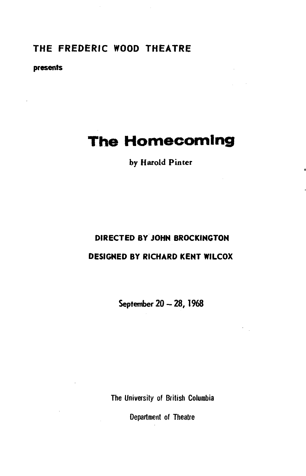### **THE FREDERIC WOOD THEATRE**

#### **presents**

# **The Homecoming**

#### **by Harold Pinter**

## **DIRECTED BY JOHN BROCKINGTON DESIGNED BY RICHARD KENT WILCOX**

**September 20 - 28, 1968** 

The University of British Columbia

Department of Theatre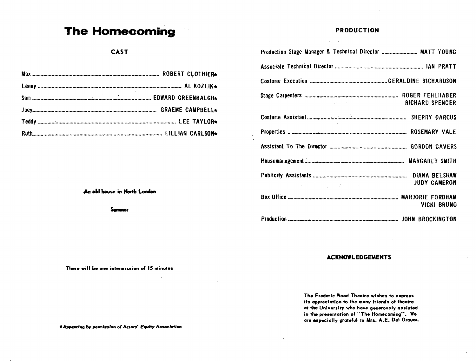# **The Homecoming**

#### **PRODUCTION**

| Production Stage Manager & Technical Director  MATT YOUNG                                                                                                                                                                                                                                                                                                                                 |
|-------------------------------------------------------------------------------------------------------------------------------------------------------------------------------------------------------------------------------------------------------------------------------------------------------------------------------------------------------------------------------------------|
|                                                                                                                                                                                                                                                                                                                                                                                           |
|                                                                                                                                                                                                                                                                                                                                                                                           |
| <b>RICHARD SPENCER</b><br>and the state of the state of the                                                                                                                                                                                                                                                                                                                               |
|                                                                                                                                                                                                                                                                                                                                                                                           |
|                                                                                                                                                                                                                                                                                                                                                                                           |
|                                                                                                                                                                                                                                                                                                                                                                                           |
|                                                                                                                                                                                                                                                                                                                                                                                           |
| <b>JUDY CAMERON</b><br>$\label{eq:2.1} \mathcal{L}_{\mathcal{A}}(x) = \frac{1}{2} \sum_{i=1}^n \frac{1}{2} \sum_{j=1}^n \frac{1}{2} \sum_{j=1}^n \frac{1}{2} \sum_{j=1}^n \frac{1}{2} \sum_{j=1}^n \frac{1}{2} \sum_{j=1}^n \frac{1}{2} \sum_{j=1}^n \frac{1}{2} \sum_{j=1}^n \frac{1}{2} \sum_{j=1}^n \frac{1}{2} \sum_{j=1}^n \frac{1}{2} \sum_{j=1}^n \frac{1}{2} \sum_{j=1}^n \frac{$ |
| VICKI BRUNO                                                                                                                                                                                                                                                                                                                                                                               |
|                                                                                                                                                                                                                                                                                                                                                                                           |

#### **ACKNOWLEDGEMENTS**

**The Frederic Wood Theatre wishes to express its appreciation to the many friends of theatre at the University who have generously assisted**  in the presentation of "The Homecoming". We **are especially grateful to Mrs. A.E . Dal Grower.** 

#### **CAST**

**An old house in North London** 

**ounmor** 

**There will be one intermission of 15 minutes** 

 $\sim$ 

**\* Appearing by permission of Actors' Equity Association**